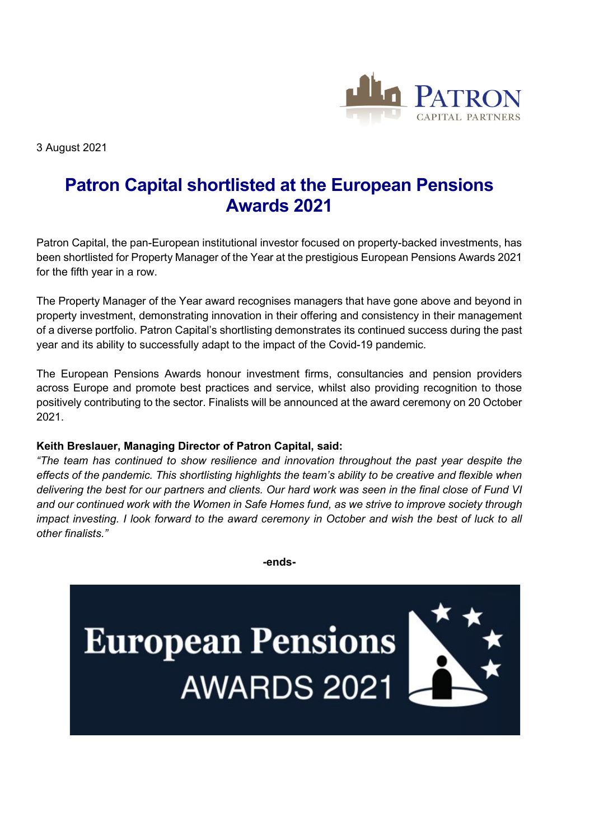

3 August 2021

# **Patron Capital shortlisted at the European Pensions Awards 2021**

Patron Capital, the pan-European institutional investor focused on property-backed investments, has been shortlisted for Property Manager of the Year at the prestigious European Pensions Awards 2021 for the fifth year in a row.

The Property Manager of the Year award recognises managers that have gone above and beyond in property investment, demonstrating innovation in their offering and consistency in their management of a diverse portfolio. Patron Capital's shortlisting demonstrates its continued success during the past year and its ability to successfully adapt to the impact of the Covid-19 pandemic.

The European Pensions Awards honour investment firms, consultancies and pension providers across Europe and promote best practices and service, whilst also providing recognition to those positively contributing to the sector. Finalists will be announced at the award ceremony on 20 October 2021.

## **Keith Breslauer, Managing Director of Patron Capital, said:**

*"The team has continued to show resilience and innovation throughout the past year despite the effects of the pandemic. This shortlisting highlights the team's ability to be creative and flexible when delivering the best for our partners and clients. Our hard work was seen in the final close of Fund VI and our continued work with the Women in Safe Homes fund, as we strive to improve society through impact investing. I look forward to the award ceremony in October and wish the best of luck to all other finalists."*

**-ends-**